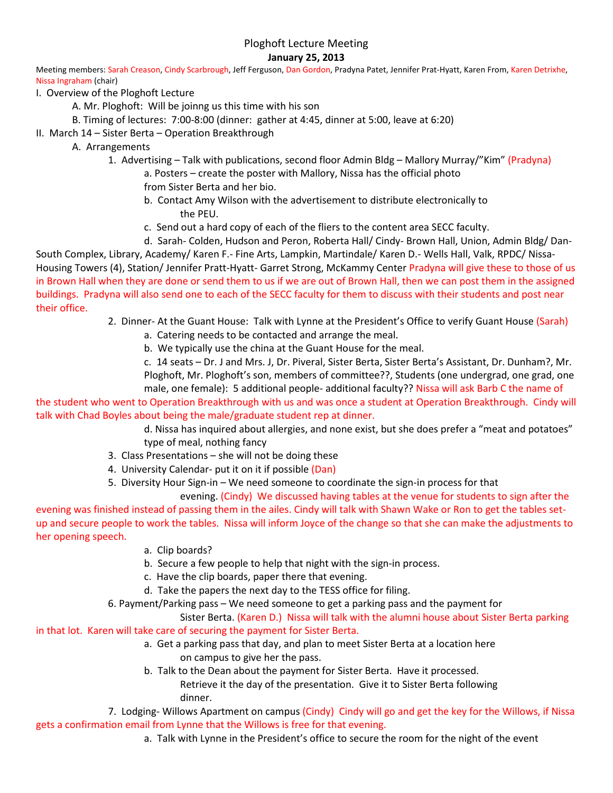# Ploghoft Lecture Meeting

## **January 25, 2013**

Meeting members: Sarah Creason, Cindy Scarbrough, Jeff Ferguson, Dan Gordon, Pradyna Patet, Jennifer Prat-Hyatt, Karen From, Karen Detrixhe, Nissa Ingraham (chair)

- I. Overview of the Ploghoft Lecture
	- A. Mr. Ploghoft: Will be joinng us this time with his son
	- B. Timing of lectures: 7:00-8:00 (dinner: gather at 4:45, dinner at 5:00, leave at 6:20)
- II. March 14 Sister Berta Operation Breakthrough
	- A. Arrangements
		- 1. Advertising Talk with publications, second floor Admin Bldg Mallory Murray/"Kim" (Pradyna)
			- a. Posters create the poster with Mallory, Nissa has the official photo
			- from Sister Berta and her bio.
			- b. Contact Amy Wilson with the advertisement to distribute electronically to the PEU.
			- c. Send out a hard copy of each of the fliers to the content area SECC faculty.
			- d. Sarah- Colden, Hudson and Peron, Roberta Hall/ Cindy- Brown Hall, Union, Admin Bldg/ Dan-

South Complex, Library, Academy/ Karen F.- Fine Arts, Lampkin, Martindale/ Karen D.- Wells Hall, Valk, RPDC/ Nissa-Housing Towers (4), Station/ Jennifer Pratt-Hyatt- Garret Strong, McKammy Center Pradyna will give these to those of us in Brown Hall when they are done or send them to us if we are out of Brown Hall, then we can post them in the assigned buildings. Pradyna will also send one to each of the SECC faculty for them to discuss with their students and post near their office.

- 2. Dinner- At the Guant House: Talk with Lynne at the President's Office to verify Guant House (Sarah)
	- a. Catering needs to be contacted and arrange the meal.
	- b. We typically use the china at the Guant House for the meal.

c. 14 seats – Dr. J and Mrs. J, Dr. Piveral, Sister Berta, Sister Berta's Assistant, Dr. Dunham?, Mr. Ploghoft, Mr. Ploghoft's son, members of committee??, Students (one undergrad, one grad, one

male, one female): 5 additional people- additional faculty?? Nissa will ask Barb C the name of the student who went to Operation Breakthrough with us and was once a student at Operation Breakthrough. Cindy will talk with Chad Boyles about being the male/graduate student rep at dinner.

> d. Nissa has inquired about allergies, and none exist, but she does prefer a "meat and potatoes" type of meal, nothing fancy

- 3. Class Presentations she will not be doing these
- 4. University Calendar- put it on it if possible (Dan)
- 5. Diversity Hour Sign-in We need someone to coordinate the sign-in process for that

evening. (Cindy) We discussed having tables at the venue for students to sign after the evening was finished instead of passing them in the ailes. Cindy will talk with Shawn Wake or Ron to get the tables setup and secure people to work the tables. Nissa will inform Joyce of the change so that she can make the adjustments to her opening speech.

- a. Clip boards?
- b. Secure a few people to help that night with the sign-in process.
- c. Have the clip boards, paper there that evening.
- d. Take the papers the next day to the TESS office for filing.
- 6. Payment/Parking pass We need someone to get a parking pass and the payment for

Sister Berta. (Karen D.) Nissa will talk with the alumni house about Sister Berta parking in that lot. Karen will take care of securing the payment for Sister Berta.

- a. Get a parking pass that day, and plan to meet Sister Berta at a location here
	- on campus to give her the pass.
	- b. Talk to the Dean about the payment for Sister Berta. Have it processed.
		- Retrieve it the day of the presentation. Give it to Sister Berta following dinner.

7. Lodging- Willows Apartment on campus (Cindy) Cindy will go and get the key for the Willows, if Nissa gets a confirmation email from Lynne that the Willows is free for that evening.

a. Talk with Lynne in the President's office to secure the room for the night of the event